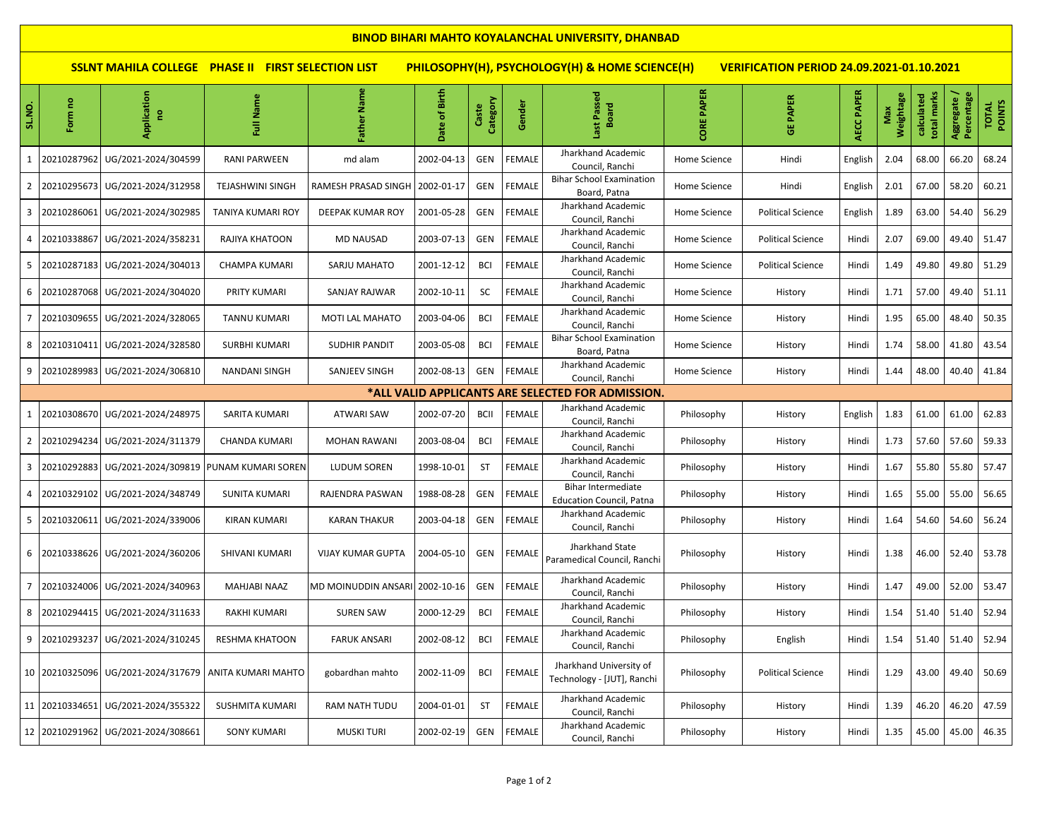| <b>BINOD BIHARI MAHTO KOYALANCHAL UNIVERSITY, DHANBAD</b>                                                                                                       |                |                                        |                         |                                  |               |                   |               |                                                              |                   |                          |            |                  |                           |                           |                 |
|-----------------------------------------------------------------------------------------------------------------------------------------------------------------|----------------|----------------------------------------|-------------------------|----------------------------------|---------------|-------------------|---------------|--------------------------------------------------------------|-------------------|--------------------------|------------|------------------|---------------------------|---------------------------|-----------------|
| PHILOSOPHY(H), PSYCHOLOGY(H) & HOME SCIENCE(H)<br><b>SSLNT MAHILA COLLEGE PHASE II FIRST SELECTION LIST</b><br><b>VERIFICATION PERIOD 24.09.2021-01.10.2021</b> |                |                                        |                         |                                  |               |                   |               |                                                              |                   |                          |            |                  |                           |                           |                 |
| SL.NO.                                                                                                                                                          | Form no        | Application<br>e                       | Name<br>Ē               | Father Name                      | Date of Birth | Category<br>Caste | Gender        | ast Passed<br><b>Board</b>                                   | <b>CORE PAPER</b> | <b>GE PAPER</b>          | AECC PAPER | Weightage<br>Max | total marks<br>calculated | Aggregate /<br>Percentage | TOTAL<br>POINTS |
|                                                                                                                                                                 | 20210287962    | UG/2021-2024/304599                    | RANI PARWEEN            | md alam                          | 2002-04-13    | GEN               | <b>FEMALE</b> | Jharkhand Academic<br>Council, Ranchi                        | Home Science      | Hindi                    | English    | 2.04             | 68.00                     | 66.20                     | 68.24           |
| $\overline{2}$                                                                                                                                                  | 20210295673    | UG/2021-2024/312958                    | <b>TEJASHWINI SINGH</b> | RAMESH PRASAD SINGH   2002-01-17 |               | GEN               | <b>FEMALE</b> | <b>Bihar School Examination</b><br>Board, Patna              | Home Science      | Hindi                    | English    | 2.01             | 67.00                     | 58.20                     | 60.21           |
| $\overline{3}$                                                                                                                                                  | 20210286061    | UG/2021-2024/302985                    | TANIYA KUMARI ROY       | DEEPAK KUMAR ROY                 | 2001-05-28    | GEN               | <b>FEMALE</b> | Jharkhand Academic<br>Council, Ranchi                        | Home Science      | <b>Political Science</b> | English    | 1.89             | 63.00                     | 54.40                     | 56.29           |
| 4                                                                                                                                                               | 20210338867    | UG/2021-2024/358231                    | RAJIYA KHATOON          | <b>MD NAUSAD</b>                 | 2003-07-13    | GEN               | <b>FEMALE</b> | Jharkhand Academic<br>Council, Ranchi                        | Home Science      | <b>Political Science</b> | Hindi      | 2.07             | 69.00                     | 49.40                     | 51.47           |
| 5                                                                                                                                                               |                | 20210287183   UG/2021-2024/304013      | <b>CHAMPA KUMARI</b>    | SARJU MAHATO                     | 2001-12-12    | <b>BCI</b>        | <b>FEMALE</b> | Jharkhand Academic<br>Council, Ranchi                        | Home Science      | <b>Political Science</b> | Hindi      | 1.49             | 49.80                     | 49.80                     | 51.29           |
| 6                                                                                                                                                               | 20210287068    | UG/2021-2024/304020                    | PRITY KUMARI            | SANJAY RAJWAR                    | 2002-10-11    | SC                | <b>FEMALE</b> | Jharkhand Academic<br>Council, Ranchi                        | Home Science      | History                  | Hindi      | 1.71             | 57.00                     | 49.40                     | 51.11           |
| $\overline{7}$                                                                                                                                                  | 20210309655    | UG/2021-2024/328065                    | TANNU KUMARI            | MOTI LAL MAHATO                  | 2003-04-06    | <b>BCI</b>        | <b>FEMALE</b> | Jharkhand Academic<br>Council, Ranchi                        | Home Science      | History                  | Hindi      | 1.95             | 65.00                     | 48.40                     | 50.35           |
| 8                                                                                                                                                               | 20210310411    | UG/2021-2024/328580                    | <b>SURBHI KUMARI</b>    | <b>SUDHIR PANDIT</b>             | 2003-05-08    | <b>BCI</b>        | <b>FEMALE</b> | <b>Bihar School Examination</b><br>Board, Patna              | Home Science      | History                  | Hindi      | 1.74             | 58.00                     | 41.80                     | 43.54           |
| 9                                                                                                                                                               | 20210289983    | UG/2021-2024/306810                    | NANDANI SINGH           | SANJEEV SINGH                    | 2002-08-13    | GEN               | <b>FEMALE</b> | Jharkhand Academic<br>Council, Ranchi                        | Home Science      | History                  | Hindi      | 1.44             | 48.00                     | 40.40                     | 41.84           |
|                                                                                                                                                                 |                |                                        |                         |                                  |               |                   |               | *ALL VALID APPLICANTS ARE SELECTED FOR ADMISSION.            |                   |                          |            |                  |                           |                           |                 |
| 1                                                                                                                                                               | 20210308670    | UG/2021-2024/248975                    | SARITA KUMARI           | <b>ATWARI SAW</b>                | 2002-07-20    | <b>BCII</b>       | <b>FEMALE</b> | Jharkhand Academic<br>Council, Ranchi                        | Philosophy        | History                  | English    | 1.83             | 61.00                     | 61.00                     | 62.83           |
| 2                                                                                                                                                               | 20210294234    | UG/2021-2024/311379                    | CHANDA KUMARI           | <b>MOHAN RAWANI</b>              | 2003-08-04    | <b>BCI</b>        | <b>FEMALE</b> | Jharkhand Academic<br>Council, Ranchi                        | Philosophy        | History                  | Hindi      | 1.73             | 57.60                     | 57.60                     | 59.33           |
| $\overline{3}$                                                                                                                                                  | 20210292883    | UG/2021-2024/309819                    | PUNAM KUMARI SOREN      | LUDUM SOREN                      | 1998-10-01    | ST                | <b>FEMALE</b> | Jharkhand Academic<br>Council, Ranchi                        | Philosophy        | History                  | Hindi      | 1.67             | 55.80                     | 55.80                     | 57.47           |
| 4                                                                                                                                                               | 20210329102    | UG/2021-2024/348749                    | <b>SUNITA KUMARI</b>    | RAJENDRA PASWAN                  | 1988-08-28    | GEN               | FEMALE        | <b>Bihar Intermediate</b><br><b>Education Council, Patna</b> | Philosophy        | History                  | Hindi      | 1.65             | 55.00                     | 55.00                     | 56.65           |
| 5                                                                                                                                                               | 20210320611    | UG/2021-2024/339006                    | KIRAN KUMARI            | <b>KARAN THAKUR</b>              | 2003-04-18    | GEN               | <b>FEMALE</b> | Jharkhand Academic<br>Council, Ranchi                        | Philosophy        | History                  | Hindi      | 1.64             | 54.60                     | 54.60                     | 56.24           |
|                                                                                                                                                                 |                | 6 20210338626 UG/2021-2024/360206      | SHIVANI KUMARI          | <b>VIJAY KUMAR GUPTA</b>         | 2004-05-10    | GEN               | FEMALE        | Jharkhand State<br>Paramedical Council, Ranchi               | Philosophy        | History                  | Hindi      | 1.38             | 46.00                     | 52.40                     | 53.78           |
| $\overline{7}$                                                                                                                                                  |                | 20210324006 UG/2021-2024/340963        | MAHJABI NAAZ            | MD MOINUDDIN ANSARI 2002-10-16   |               | GEN               | <b>FEMALE</b> | Jharkhand Academic<br>Council, Ranchi                        | Philosophy        | History                  | Hindi      | 1.47             | 49.00                     | 52.00                     | 53.47           |
| 8                                                                                                                                                               | 20210294415    | UG/2021-2024/311633                    | <b>RAKHI KUMARI</b>     | <b>SUREN SAW</b>                 | 2000-12-29    | <b>BCI</b>        | <b>FEMALE</b> | Jharkhand Academic<br>Council, Ranchi                        | Philosophy        | History                  | Hindi      | 1.54             | 51.40                     | 51.40                     | 52.94           |
|                                                                                                                                                                 |                | 9 20210293237 UG/2021-2024/310245      | RESHMA KHATOON          | <b>FARUK ANSARI</b>              | 2002-08-12    | <b>BCI</b>        | FEMALE        | Jharkhand Academic<br>Council, Ranchi                        | Philosophy        | English                  | Hindi      | 1.54             |                           | 51.40 51.40               | 52.94           |
|                                                                                                                                                                 | 10 20210325096 | UG/2021-2024/317679 ANITA KUMARI MAHTO |                         | gobardhan mahto                  | 2002-11-09    | <b>BCI</b>        | <b>FEMALE</b> | Jharkhand University of<br>Technology - [JUT], Ranchi        | Philosophy        | <b>Political Science</b> | Hindi      | 1.29             | 43.00                     | 49.40                     | 50.69           |
|                                                                                                                                                                 | 11 20210334651 | UG/2021-2024/355322                    | <b>SUSHMITA KUMARI</b>  | RAM NATH TUDU                    | 2004-01-01    | <b>ST</b>         | FEMALE        | Jharkhand Academic<br>Council, Ranchi                        | Philosophy        | History                  | Hindi      | 1.39             | 46.20                     | 46.20                     | 47.59           |
|                                                                                                                                                                 | 12 20210291962 | UG/2021-2024/308661                    | <b>SONY KUMARI</b>      | <b>MUSKI TURI</b>                | 2002-02-19    | GEN               | FEMALE        | Jharkhand Academic<br>Council, Ranchi                        | Philosophy        | History                  | Hindi      | 1.35             | 45.00                     | 45.00                     | 46.35           |

**IT**